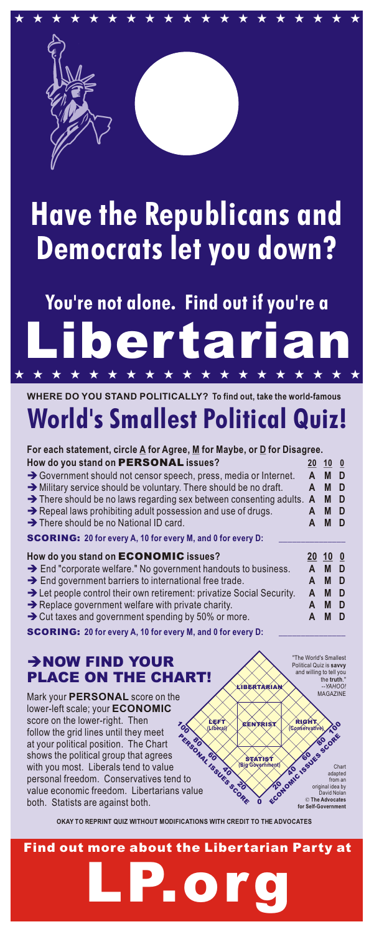

## Have the Republicans and Democrats let you down?

## **Libertarian** You're not alone. Find out if you're a \* \* \* \* \* \* \* \* \* \* \* \* \* \* \* \* \* \* \*

## **WHERE DO YOU STAND POLITICALLY? To find out, take the world-famous**  World's Smallest Political Quiz!

| For each statement, circle $\underline{A}$ for Agree, $\underline{M}$ for Maybe, or $\underline{D}$ for Disagree. |   |       |                         |
|-------------------------------------------------------------------------------------------------------------------|---|-------|-------------------------|
| How do you stand on <b>PERSONAL</b> issues?                                                                       |   | 20 10 | $\mathbf{0}$            |
| $\rightarrow$ Government should not censor speech, press, media or Internet.                                      | A | M     | D                       |
| $\rightarrow$ Military service should be voluntary. There should be no draft.                                     | A | M     | D                       |
| $\rightarrow$ There should be no laws regarding sex between consenting adults.                                    | A | M     | D                       |
| $\rightarrow$ Repeal laws prohibiting adult possession and use of drugs.                                          |   | M     | D                       |
| > There should be no National ID card.                                                                            |   | M     | D                       |
| <b>SCORING: 20 for every A, 10 for every M, and 0 for every D:</b>                                                |   |       |                         |
|                                                                                                                   |   |       |                         |
| How do you stand on <b>ECONOMIC</b> issues?                                                                       |   | 20 10 | $\overline{\mathbf{0}}$ |
| $\rightarrow$ End "corporate welfare." No government handouts to business.                                        | A | M     | D                       |
| $\rightarrow$ End government barriers to international free trade.                                                |   | M     | D                       |
| $\rightarrow$ Let people control their own retirement: privatize Social Security.                                 | A | M     | D                       |
| $\rightarrow$ Replace government welfare with private charity.                                                    | A | M     | D                       |
| $\rightarrow$ Cut taxes and government spending by 50% or more.                                                   |   | M     | D                       |

## èNOW FIND YOUR PLACE ON THE CHART!

Mark your **PERSONAL** score on the lower-left scale; your **ECONOMIC** score on the lower-right. Then follow the grid lines until they meet at your political position. The Chart shows the political group that agrees with you most. Liberals tend to value personal freedom. Conservatives tend to value economic freedom. Libertarians value both. Statists are against both. **PERSONAL PROPERTY** 80  $v_{\mathcal{O}_G}$ 

"The World's Smallest Political Quiz is **savvy** and willing to tell you the **truth**." *--YAHOO!* MAGAZINE

SSCOT OMIC ISSUES ST Char adapted from an hal idea by svid Nola **The Advocates**

60.  $\delta$ 

for Self-G

 $\frac{1}{6}$ 

RE %ें **(Conservative)** RIGHT

**OKAY TO REPRINT QUIZ WITHOUT MODIFICATIONS WITH CREDIT TO THE ADVOCATES**

**Find out more about the Libertarian Party at**

 $\bm{\psi}$ N

LIBERTARIAN

CENTRIST

**(Big Government)**

0

ઌ  $\mathbf{z}$ 

**(Liberal)** LEFT

જે

STATIST

 $\rm{c}^o$ 

 $\gamma$ 

**LP.org**